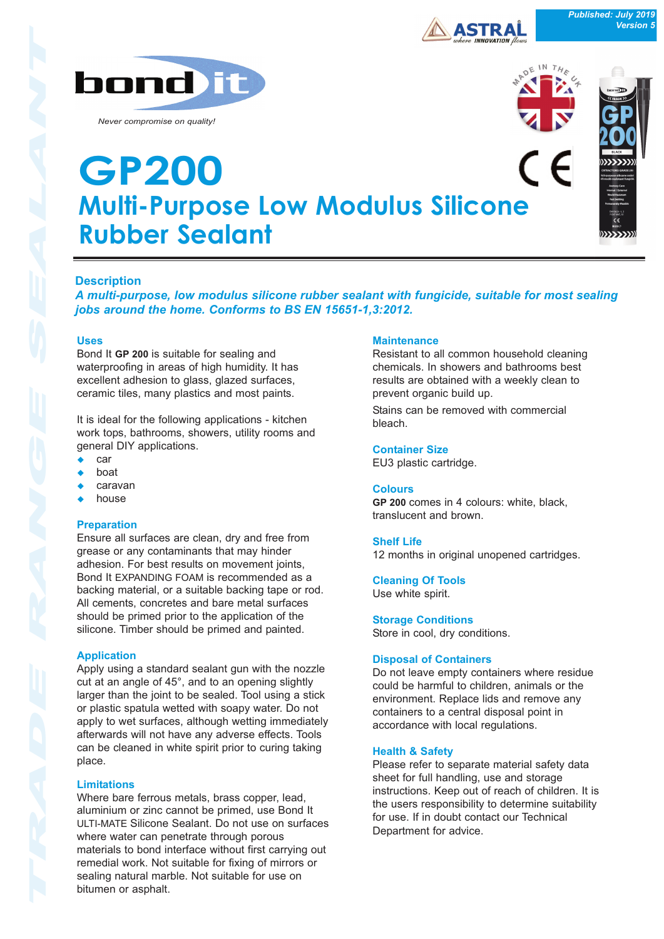

*Never compromise on quality!*



*Published: July 2019*

**Version 5** 

# **Multi-Purpose Low Modulus Silicone Rubber Sealant GP200**



A multi-purpose, low modulus silicone rubber sealant with fungicide, suitable for most sealing *jobs around the home. Conforms to BS EN 15651-1,3:2012.* 

# **Uses**

Bond It **GP 200** is suitable for sealing and waterproofing in areas of high humidity. It has excellent adhesion to glass, glazed surfaces, ceramic tiles, many plastics and most paints.

It is ideal for the following applications - kitchen work tops, bathrooms, showers, utility rooms and general DIY applications.

- $\bullet$  car
- hoat
- <sup>u</sup> caravan
- house

# **Preparation**

Ensure all surfaces are clean, dry and free from grease or any contaminants that may hinder adhesion. For best results on movement joints, Bond It EXPANDING FOAM is recommended as a backing material, or a suitable backing tape or rod. All cements, concretes and bare metal surfaces should be primed prior to the application of the silicone. Timber should be primed and painted.

# **Application**

Apply using a standard sealant gun with the nozzle cut at an angle of 45°, and to an opening slightly larger than the joint to be sealed. Tool using a stick or plastic spatula wetted with soapy water. Do not apply to wet surfaces, although wetting immediately afterwards will not have any adverse effects. Tools can be cleaned in white spirit prior to curing taking place.

# **Limitations**

Where bare ferrous metals, brass copper, lead, aluminium or zinc cannot be primed, use Bond It ULTI-MATE Silicone Sealant. Do not use on surfaces where water can penetrate through porous materials to bond interface without first carrying out remedial work. Not suitable for fixing of mirrors or sealing natural marble. Not suitable for use on bitumen or asphalt.

# **Maintenance**

Resistant to all common household cleaning chemicals. In showers and bathrooms best results are obtained with a weekly clean to prevent organic build up.

Stains can be removed with commercial bleach.

# **Container Size**

EU3 plastic cartridge.

#### **Colours**

**GP 200** comes in 4 colours: white, black, translucent and brown.

#### **Shelf Life**

12 months in original unopened cartridges.

**Cleaning Of Tools** Use white spirit.

**Storage Conditions** Store in cool, dry conditions.

# **Disposal of Containers**

Do not leave empty containers where residue could be harmful to children, animals or the environment. Replace lids and remove any containers to a central disposal point in accordance with local regulations.

# **Health & Safety**

Please refer to separate material safety data sheet for full handling, use and storage instructions. Keep out of reach of children. It is the users responsibility to determine suitability for use. If in doubt contact our Technical Department for advice.